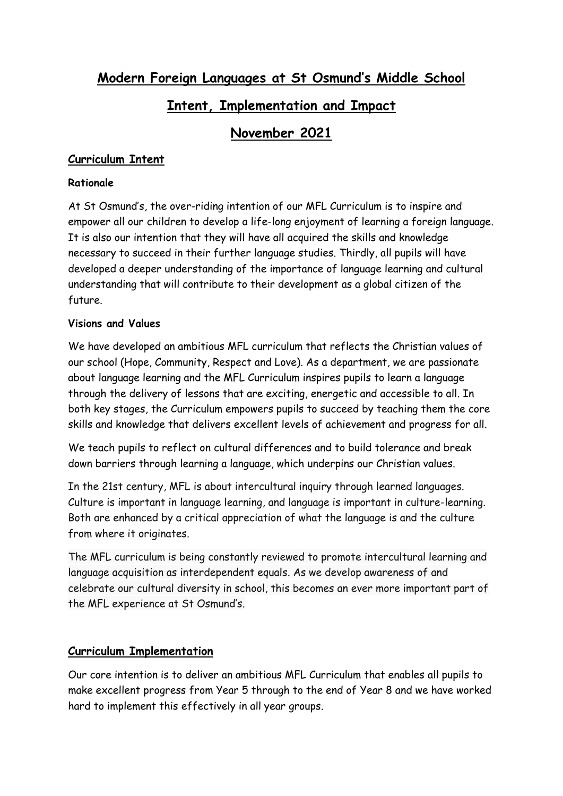**Modern Foreign Languages at St Osmund's Middle School**

# **Intent, Implementation and Impact**

# **November 2021**

## **Curriculum Intent**

#### **Rationale**

At St Osmund's, the over-riding intention of our MFL Curriculum is to inspire and empower all our children to develop a life-long enjoyment of learning a foreign language. It is also our intention that they will have all acquired the skills and knowledge necessary to succeed in their further language studies. Thirdly, all pupils will have developed a deeper understanding of the importance of language learning and cultural understanding that will contribute to their development as a global citizen of the future.

#### **Visions and Values**

We have developed an ambitious MFL curriculum that reflects the Christian values of our school (Hope, Community, Respect and Love). As a department, we are passionate about language learning and the MFL Curriculum inspires pupils to learn a language through the delivery of lessons that are exciting, energetic and accessible to all. In both key stages, the Curriculum empowers pupils to succeed by teaching them the core skills and knowledge that delivers excellent levels of achievement and progress for all.

We teach pupils to reflect on cultural differences and to build tolerance and break down barriers through learning a language, which underpins our Christian values.

In the 21st century, MFL is about intercultural inquiry through learned languages. Culture is important in language learning, and language is important in culture-learning. Both are enhanced by a critical appreciation of what the language is and the culture from where it originates.

The MFL curriculum is being constantly reviewed to promote intercultural learning and language acquisition as interdependent equals. As we develop awareness of and celebrate our cultural diversity in school, this becomes an ever more important part of the MFL experience at St Osmund's.

## **Curriculum Implementation**

Our core intention is to deliver an ambitious MFL Curriculum that enables all pupils to make excellent progress from Year 5 through to the end of Year 8 and we have worked hard to implement this effectively in all year groups.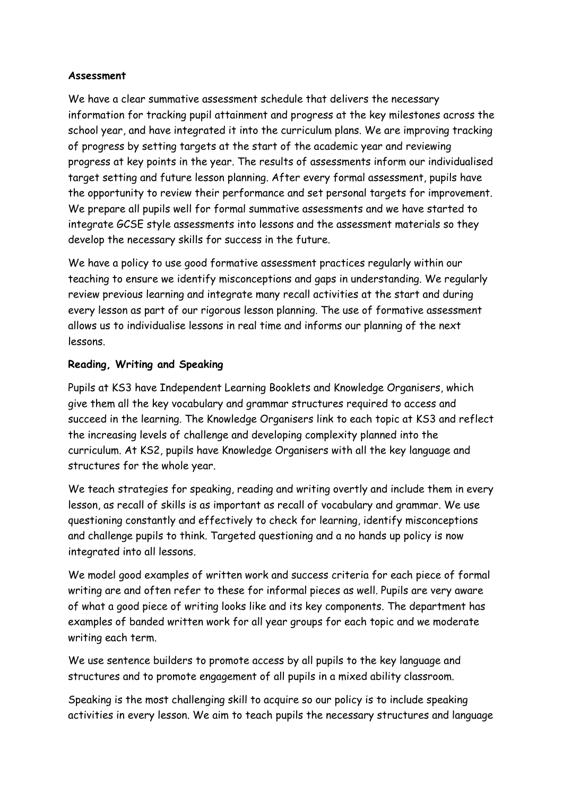#### **Assessment**

We have a clear summative assessment schedule that delivers the necessary information for tracking pupil attainment and progress at the key milestones across the school year, and have integrated it into the curriculum plans. We are improving tracking of progress by setting targets at the start of the academic year and reviewing progress at key points in the year. The results of assessments inform our individualised target setting and future lesson planning. After every formal assessment, pupils have the opportunity to review their performance and set personal targets for improvement. We prepare all pupils well for formal summative assessments and we have started to integrate GCSE style assessments into lessons and the assessment materials so they develop the necessary skills for success in the future.

We have a policy to use good formative assessment practices regularly within our teaching to ensure we identify misconceptions and gaps in understanding. We regularly review previous learning and integrate many recall activities at the start and during every lesson as part of our rigorous lesson planning. The use of formative assessment allows us to individualise lessons in real time and informs our planning of the next lessons.

## **Reading, Writing and Speaking**

Pupils at KS3 have Independent Learning Booklets and Knowledge Organisers, which give them all the key vocabulary and grammar structures required to access and succeed in the learning. The Knowledge Organisers link to each topic at KS3 and reflect the increasing levels of challenge and developing complexity planned into the curriculum. At KS2, pupils have Knowledge Organisers with all the key language and structures for the whole year.

We teach strategies for speaking, reading and writing overtly and include them in every lesson, as recall of skills is as important as recall of vocabulary and grammar. We use questioning constantly and effectively to check for learning, identify misconceptions and challenge pupils to think. Targeted questioning and a no hands up policy is now integrated into all lessons.

We model good examples of written work and success criteria for each piece of formal writing are and often refer to these for informal pieces as well. Pupils are very aware of what a good piece of writing looks like and its key components. The department has examples of banded written work for all year groups for each topic and we moderate writing each term.

We use sentence builders to promote access by all pupils to the key language and structures and to promote engagement of all pupils in a mixed ability classroom.

Speaking is the most challenging skill to acquire so our policy is to include speaking activities in every lesson. We aim to teach pupils the necessary structures and language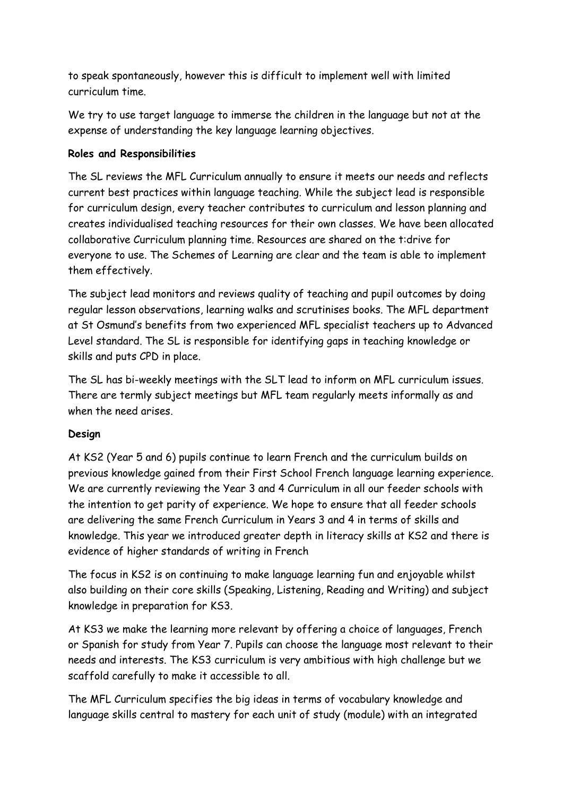to speak spontaneously, however this is difficult to implement well with limited curriculum time.

We try to use target language to immerse the children in the language but not at the expense of understanding the key language learning objectives.

#### **Roles and Responsibilities**

The SL reviews the MFL Curriculum annually to ensure it meets our needs and reflects current best practices within language teaching. While the subject lead is responsible for curriculum design, every teacher contributes to curriculum and lesson planning and creates individualised teaching resources for their own classes. We have been allocated collaborative Curriculum planning time. Resources are shared on the t:drive for everyone to use. The Schemes of Learning are clear and the team is able to implement them effectively.

The subject lead monitors and reviews quality of teaching and pupil outcomes by doing regular lesson observations, learning walks and scrutinises books. The MFL department at St Osmund's benefits from two experienced MFL specialist teachers up to Advanced Level standard. The SL is responsible for identifying gaps in teaching knowledge or skills and puts CPD in place.

The SL has bi-weekly meetings with the SLT lead to inform on MFL curriculum issues. There are termly subject meetings but MFL team regularly meets informally as and when the need arises.

## **Design**

At KS2 (Year 5 and 6) pupils continue to learn French and the curriculum builds on previous knowledge gained from their First School French language learning experience. We are currently reviewing the Year 3 and 4 Curriculum in all our feeder schools with the intention to get parity of experience. We hope to ensure that all feeder schools are delivering the same French Curriculum in Years 3 and 4 in terms of skills and knowledge. This year we introduced greater depth in literacy skills at KS2 and there is evidence of higher standards of writing in French

The focus in KS2 is on continuing to make language learning fun and enjoyable whilst also building on their core skills (Speaking, Listening, Reading and Writing) and subject knowledge in preparation for KS3.

At KS3 we make the learning more relevant by offering a choice of languages, French or Spanish for study from Year 7. Pupils can choose the language most relevant to their needs and interests. The KS3 curriculum is very ambitious with high challenge but we scaffold carefully to make it accessible to all.

The MFL Curriculum specifies the big ideas in terms of vocabulary knowledge and language skills central to mastery for each unit of study (module) with an integrated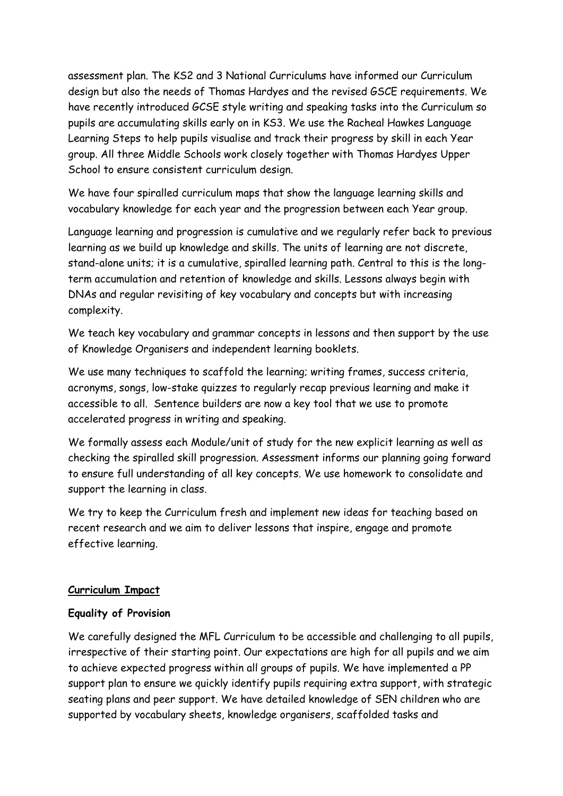assessment plan. The KS2 and 3 National Curriculums have informed our Curriculum design but also the needs of Thomas Hardyes and the revised GSCE requirements. We have recently introduced GCSE style writing and speaking tasks into the Curriculum so pupils are accumulating skills early on in KS3. We use the Racheal Hawkes Language Learning Steps to help pupils visualise and track their progress by skill in each Year group. All three Middle Schools work closely together with Thomas Hardyes Upper School to ensure consistent curriculum design.

We have four spiralled curriculum maps that show the language learning skills and vocabulary knowledge for each year and the progression between each Year group.

Language learning and progression is cumulative and we regularly refer back to previous learning as we build up knowledge and skills. The units of learning are not discrete, stand-alone units; it is a cumulative, spiralled learning path. Central to this is the longterm accumulation and retention of knowledge and skills. Lessons always begin with DNAs and regular revisiting of key vocabulary and concepts but with increasing complexity.

We teach key vocabulary and grammar concepts in lessons and then support by the use of Knowledge Organisers and independent learning booklets.

We use many techniques to scaffold the learning; writing frames, success criteria, acronyms, songs, low-stake quizzes to regularly recap previous learning and make it accessible to all. Sentence builders are now a key tool that we use to promote accelerated progress in writing and speaking.

We formally assess each Module/unit of study for the new explicit learning as well as checking the spiralled skill progression. Assessment informs our planning going forward to ensure full understanding of all key concepts. We use homework to consolidate and support the learning in class.

We try to keep the Curriculum fresh and implement new ideas for teaching based on recent research and we aim to deliver lessons that inspire, engage and promote effective learning.

## **Curriculum Impact**

## **Equality of Provision**

We carefully designed the MFL Curriculum to be accessible and challenging to all pupils, irrespective of their starting point. Our expectations are high for all pupils and we aim to achieve expected progress within all groups of pupils. We have implemented a PP support plan to ensure we quickly identify pupils requiring extra support, with strategic seating plans and peer support. We have detailed knowledge of SEN children who are supported by vocabulary sheets, knowledge organisers, scaffolded tasks and